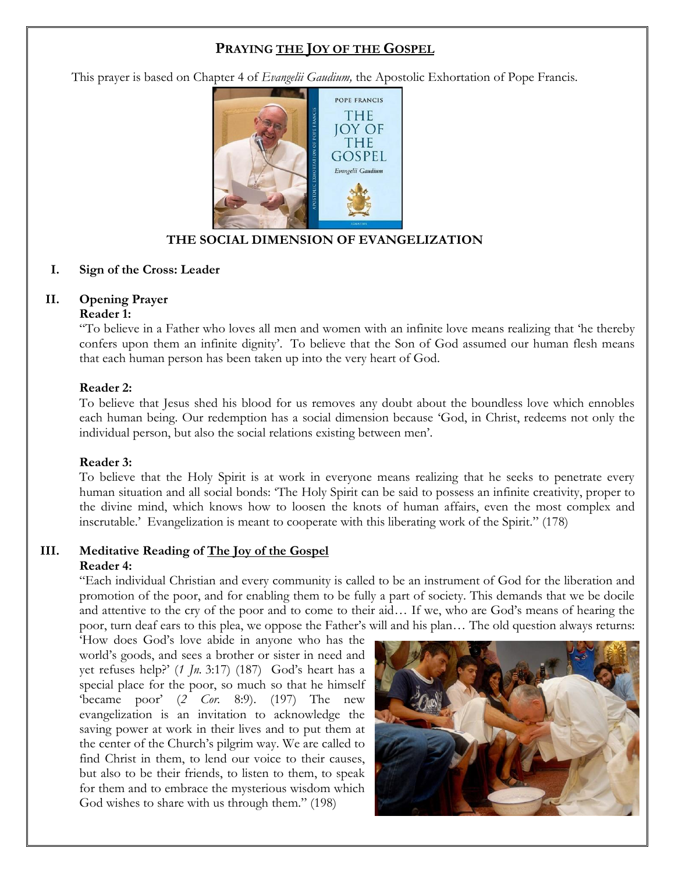# **PRAYING THE JOY OF THE GOSPEL**

This prayer is based on Chapter 4 of *Evangelii Gaudium,* the Apostolic Exhortation of Pope Francis.



## **THE SOCIAL DIMENSION OF EVANGELIZATION**

#### **I. Sign of the Cross: Leader**

## **II. Opening Prayer**

#### **Reader 1:**

"To believe in a Father who loves all men and women with an infinite love means realizing that 'he thereby confers upon them an infinite dignity'. To believe that the Son of God assumed our human flesh means that each human person has been taken up into the very heart of God.

#### **Reader 2:**

To believe that Jesus shed his blood for us removes any doubt about the boundless love which ennobles each human being. Our redemption has a social dimension because 'God, in Christ, redeems not only the individual person, but also the social relations existing between men'.

### **Reader 3:**

To believe that the Holy Spirit is at work in everyone means realizing that he seeks to penetrate every human situation and all social bonds: 'The Holy Spirit can be said to possess an infinite creativity, proper to the divine mind, which knows how to loosen the knots of human affairs, even the most complex and inscrutable.' Evangelization is meant to cooperate with this liberating work of the Spirit." (178)

# **III. Meditative Reading of The Joy of the Gospel**

#### **Reader 4:**

"Each individual Christian and every community is called to be an instrument of God for the liberation and promotion of the poor, and for enabling them to be fully a part of society. This demands that we be docile and attentive to the cry of the poor and to come to their aid… If we, who are God's means of hearing the poor, turn deaf ears to this plea, we oppose the Father's will and his plan… The old question always returns:

'How does God's love abide in anyone who has the world's goods, and sees a brother or sister in need and yet refuses help?' (*1 Jn.* 3:17) (187) God's heart has a special place for the poor, so much so that he himself 'became poor' (*2 Cor.* 8:9). (197) The new evangelization is an invitation to acknowledge the saving power at work in their lives and to put them at the center of the Church's pilgrim way. We are called to find Christ in them, to lend our voice to their causes, but also to be their friends, to listen to them, to speak for them and to embrace the mysterious wisdom which God wishes to share with us through them." (198)